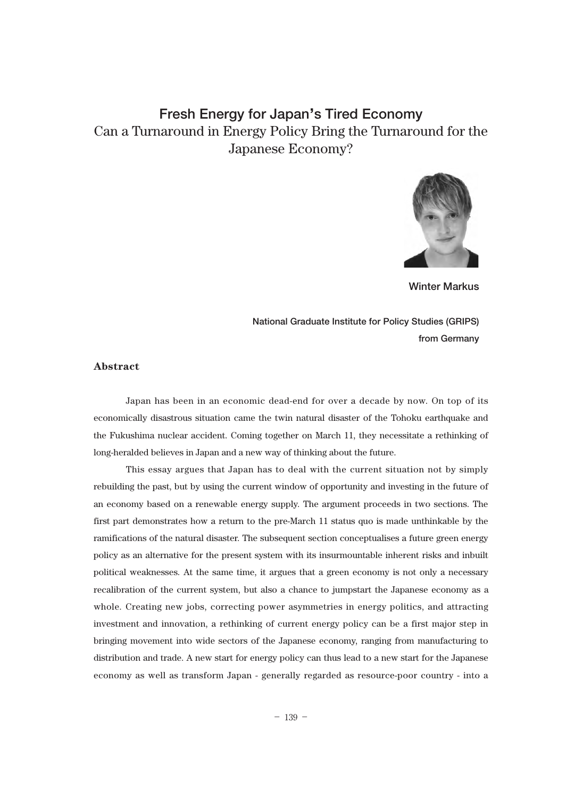# **Fresh Energy for Japan**'**s Tired Economy** Can a Turnaround in Energy Policy Bring the Turnaround for the Japanese Economy?



**Winter Markus**

**National Graduate Institute for Policy Studies (GRIPS) from Germany**

### **Abstract**

Japan has been in an economic dead-end for over a decade by now. On top of its economically disastrous situation came the twin natural disaster of the Tohoku earthquake and the Fukushima nuclear accident. Coming together on March 11, they necessitate a rethinking of long-heralded believes in Japan and a new way of thinking about the future.

This essay argues that Japan has to deal with the current situation not by simply rebuilding the past, but by using the current window of opportunity and investing in the future of an economy based on a renewable energy supply. The argument proceeds in two sections. The first part demonstrates how a return to the pre-March 11 status quo is made unthinkable by the ramifications of the natural disaster. The subsequent section conceptualises a future green energy policy as an alternative for the present system with its insurmountable inherent risks and inbuilt political weaknesses. At the same time, it argues that a green economy is not only a necessary recalibration of the current system, but also a chance to jumpstart the Japanese economy as a whole. Creating new jobs, correcting power asymmetries in energy politics, and attracting investment and innovation, a rethinking of current energy policy can be a first major step in bringing movement into wide sectors of the Japanese economy, ranging from manufacturing to distribution and trade. A new start for energy policy can thus lead to a new start for the Japanese economy as well as transform Japan - generally regarded as resource-poor country - into a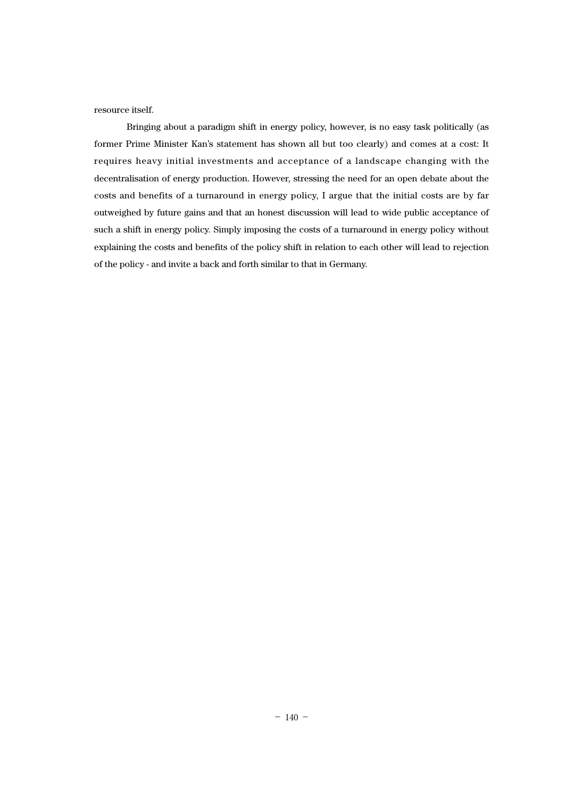resource itself.

Bringing about a paradigm shift in energy policy, however, is no easy task politically (as former Prime Minister Kan's statement has shown all but too clearly) and comes at a cost: It requires heavy initial investments and acceptance of a landscape changing with the decentralisation of energy production. However, stressing the need for an open debate about the costs and benefits of a turnaround in energy policy, I argue that the initial costs are by far outweighed by future gains and that an honest discussion will lead to wide public acceptance of such a shift in energy policy. Simply imposing the costs of a turnaround in energy policy without explaining the costs and benefits of the policy shift in relation to each other will lead to rejection of the policy - and invite a back and forth similar to that in Germany.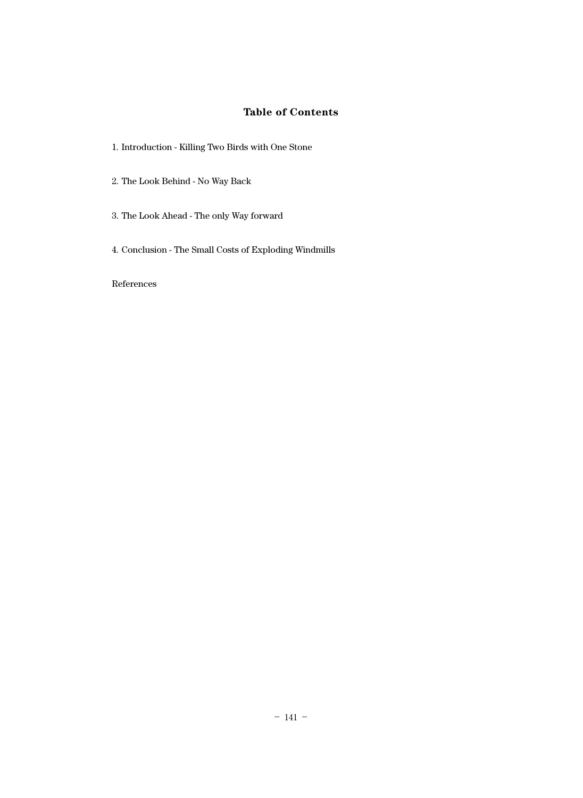## **Table of Contents**

- 1. Introduction Killing Two Birds with One Stone
- 2. The Look Behind No Way Back
- 3. The Look Ahead The only Way forward
- 4. Conclusion The Small Costs of Exploding Windmills

References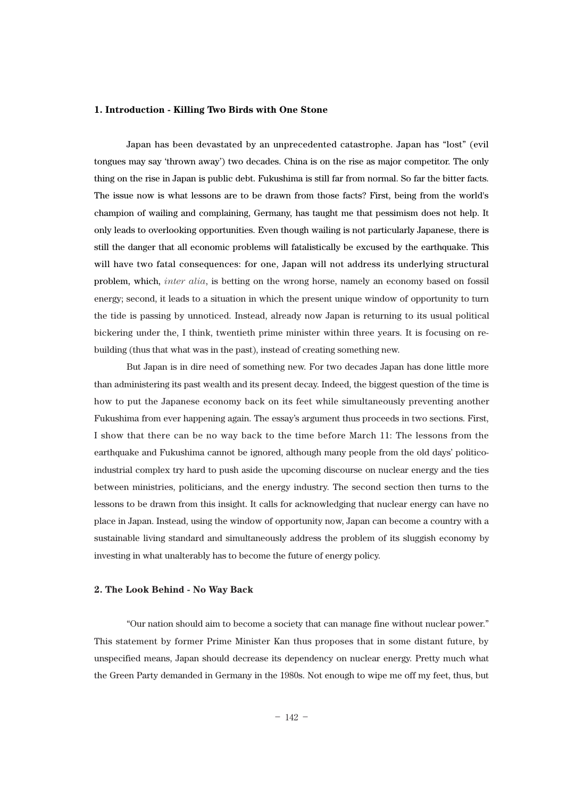#### **1. Introduction - Killing Two Birds with One Stone**

Japan has been devastated by an unprecedented catastrophe. Japan has "lost" (evil tongues may say 'thrown away') two decades. China is on the rise as major competitor. The only thing on the rise in Japan is public debt. Fukushima is still far from normal. So far the bitter facts. The issue now is what lessons are to be drawn from those facts? First, being from the world's champion of wailing and complaining, Germany, has taught me that pessimism does not help. It only leads to overlooking opportunities. Even though wailing is not particularly Japanese, there is still the danger that all economic problems will fatalistically be excused by the earthquake. This will have two fatal consequences: for one, Japan will not address its underlying structural problem, which, *inter alia*, is betting on the wrong horse, namely an economy based on fossil energy; second, it leads to a situation in which the present unique window of opportunity to turn the tide is passing by unnoticed. Instead, already now Japan is returning to its usual political bickering under the, I think, twentieth prime minister within three years. It is focusing on rebuilding (thus that what was in the past), instead of creating something new.

But Japan is in dire need of something new. For two decades Japan has done little more than administering its past wealth and its present decay. Indeed, the biggest question of the time is how to put the Japanese economy back on its feet while simultaneously preventing another Fukushima from ever happening again. The essay's argument thus proceeds in two sections. First, I show that there can be no way back to the time before March 11: The lessons from the earthquake and Fukushima cannot be ignored, although many people from the old days' politicoindustrial complex try hard to push aside the upcoming discourse on nuclear energy and the ties between ministries, politicians, and the energy industry. The second section then turns to the lessons to be drawn from this insight. It calls for acknowledging that nuclear energy can have no place in Japan. Instead, using the window of opportunity now, Japan can become a country with a sustainable living standard and simultaneously address the problem of its sluggish economy by investing in what unalterably has to become the future of energy policy.

#### **2. The Look Behind - No Way Back**

"Our nation should aim to become a society that can manage fine without nuclear power." This statement by former Prime Minister Kan thus proposes that in some distant future, by unspecified means, Japan should decrease its dependency on nuclear energy. Pretty much what the Green Party demanded in Germany in the 1980s. Not enough to wipe me off my feet, thus, but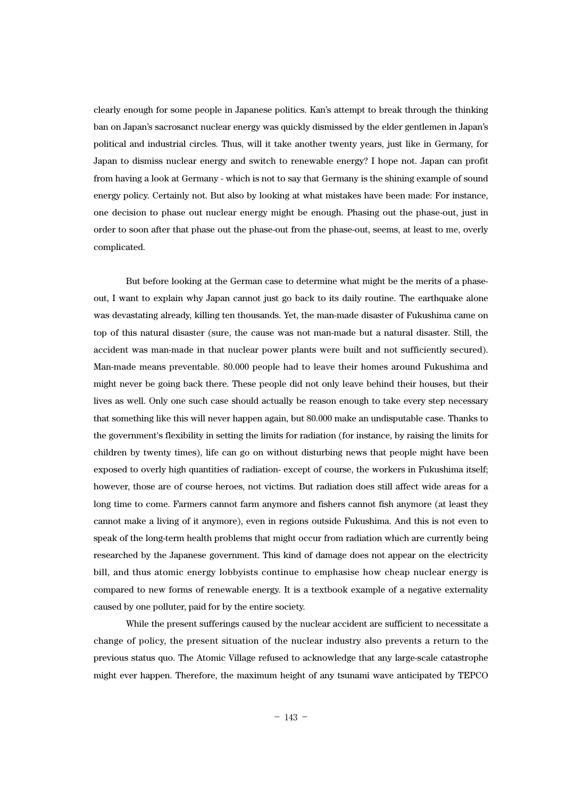clearly enough for some people in Japanese politics. Kan's attempt to break through the thinking ban on Japan's sacrosanct nuclear energy was quickly dismissed by the elder gentlemen in Japan's political and industrial circles. Thus, will it take another twenty years, just like in Germany, for Japan to dismiss nuclear energy and switch to renewable energy? I hope not. Japan can profit from having a look at Germany - which is not to say that Germany is the shining example of sound energy policy. Certainly not. But also by looking at what mistakes have been made: For instance, one decision to phase out nuclear energy might be enough. Phasing out the phase-out, just in order to soon after that phase out the phase-out from the phase-out, seems, at least to me, overly complicated.

But before looking at the German case to determine what might be the merits of a phaseout, I want to explain why Japan cannot just go back to its daily routine. The earthquake alone was devastating already, killing ten thousands. Yet, the man-made disaster of Fukushima came on top of this natural disaster (sure, the cause was not man-made but a natural disaster. Still, the accident was man-made in that nuclear power plants were built and not sufficiently secured). Man-made means preventable. 80.000 people had to leave their homes around Fukushima and might never be going back there. These people did not only leave behind their houses, but their lives as well. Only one such case should actually be reason enough to take every step necessary that something like this will never happen again, but 80.000 make an undisputable case. Thanks to the government's flexibility in setting the limits for radiation (for instance, by raising the limits for children by twenty times), life can go on without disturbing news that people might have been exposed to overly high quantities of radiation- except of course, the workers in Fukushima itself; however, those are of course heroes, not victims. But radiation does still affect wide areas for a long time to come. Farmers cannot farm anymore and fishers cannot fish anymore (at least they cannot make a living of it anymore), even in regions outside Fukushima. And this is not even to speak of the long-term health problems that might occur from radiation which are currently being researched by the Japanese government. This kind of damage does not appear on the electricity bill, and thus atomic energy lobbyists continue to emphasise how cheap nuclear energy is compared to new forms of renewable energy. It is a textbook example of a negative externality caused by one polluter, paid for by the entire society.

While the present sufferings caused by the nuclear accident are sufficient to necessitate a change of policy, the present situation of the nuclear industry also prevents a return to the previous status quo. The Atomic Village refused to acknowledge that any large-scale catastrophe might ever happen. Therefore, the maximum height of any tsunami wave anticipated by TEPCO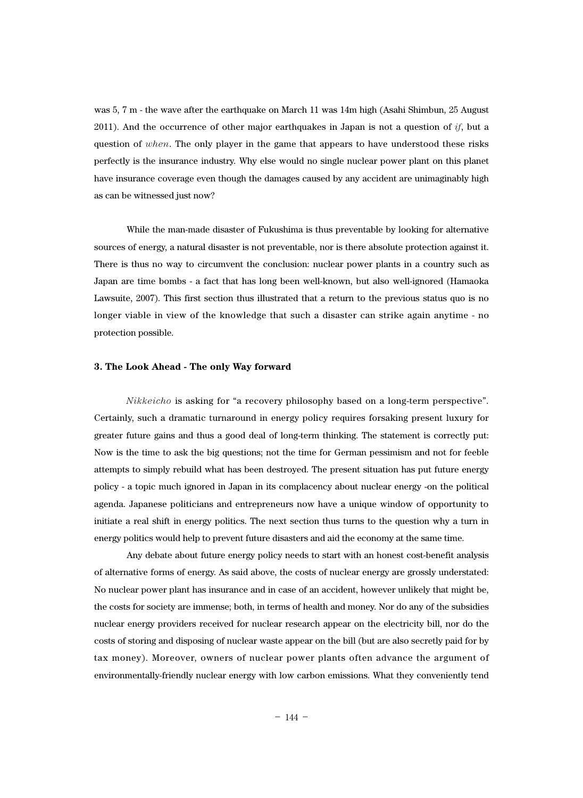was 5, 7 m - the wave after the earthquake on March 11 was 14m high (Asahi Shimbun, 25 August 2011). And the occurrence of other major earthquakes in Japan is not a question of *if*, but a question of *when*. The only player in the game that appears to have understood these risks perfectly is the insurance industry. Why else would no single nuclear power plant on this planet have insurance coverage even though the damages caused by any accident are unimaginably high as can be witnessed just now?

While the man-made disaster of Fukushima is thus preventable by looking for alternative sources of energy, a natural disaster is not preventable, nor is there absolute protection against it. There is thus no way to circumvent the conclusion: nuclear power plants in a country such as Japan are time bombs - a fact that has long been well-known, but also well-ignored (Hamaoka Lawsuite, 2007). This first section thus illustrated that a return to the previous status quo is no longer viable in view of the knowledge that such a disaster can strike again anytime - no protection possible.

#### **3. The Look Ahead - The only Way forward**

*Nikkeicho* is asking for "a recovery philosophy based on a long-term perspective". Certainly, such a dramatic turnaround in energy policy requires forsaking present luxury for greater future gains and thus a good deal of long-term thinking. The statement is correctly put: Now is the time to ask the big questions; not the time for German pessimism and not for feeble attempts to simply rebuild what has been destroyed. The present situation has put future energy policy - a topic much ignored in Japan in its complacency about nuclear energy -on the political agenda. Japanese politicians and entrepreneurs now have a unique window of opportunity to initiate a real shift in energy politics. The next section thus turns to the question why a turn in energy politics would help to prevent future disasters and aid the economy at the same time.

Any debate about future energy policy needs to start with an honest cost-benefit analysis of alternative forms of energy. As said above, the costs of nuclear energy are grossly understated: No nuclear power plant has insurance and in case of an accident, however unlikely that might be, the costs for society are immense; both, in terms of health and money. Nor do any of the subsidies nuclear energy providers received for nuclear research appear on the electricity bill, nor do the costs of storing and disposing of nuclear waste appear on the bill (but are also secretly paid for by tax money). Moreover, owners of nuclear power plants often advance the argument of environmentally-friendly nuclear energy with low carbon emissions. What they conveniently tend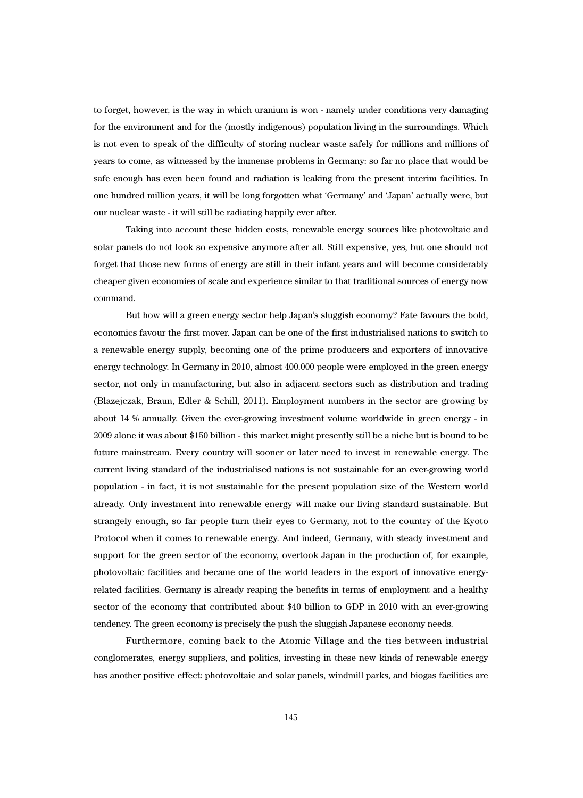to forget, however, is the way in which uranium is won - namely under conditions very damaging for the environment and for the (mostly indigenous) population living in the surroundings. Which is not even to speak of the difficulty of storing nuclear waste safely for millions and millions of years to come, as witnessed by the immense problems in Germany: so far no place that would be safe enough has even been found and radiation is leaking from the present interim facilities. In one hundred million years, it will be long forgotten what 'Germany' and 'Japan' actually were, but our nuclear waste - it will still be radiating happily ever after.

Taking into account these hidden costs, renewable energy sources like photovoltaic and solar panels do not look so expensive anymore after all. Still expensive, yes, but one should not forget that those new forms of energy are still in their infant years and will become considerably cheaper given economies of scale and experience similar to that traditional sources of energy now command.

But how will a green energy sector help Japan's sluggish economy? Fate favours the bold, economics favour the first mover. Japan can be one of the first industrialised nations to switch to a renewable energy supply, becoming one of the prime producers and exporters of innovative energy technology. In Germany in 2010, almost 400.000 people were employed in the green energy sector, not only in manufacturing, but also in adjacent sectors such as distribution and trading (Blazejczak, Braun, Edler & Schill, 2011). Employment numbers in the sector are growing by about 14 % annually. Given the ever-growing investment volume worldwide in green energy - in 2009 alone it was about \$150 billion - this market might presently still be a niche but is bound to be future mainstream. Every country will sooner or later need to invest in renewable energy. The current living standard of the industrialised nations is not sustainable for an ever-growing world population - in fact, it is not sustainable for the present population size of the Western world already. Only investment into renewable energy will make our living standard sustainable. But strangely enough, so far people turn their eyes to Germany, not to the country of the Kyoto Protocol when it comes to renewable energy. And indeed, Germany, with steady investment and support for the green sector of the economy, overtook Japan in the production of, for example, photovoltaic facilities and became one of the world leaders in the export of innovative energyrelated facilities. Germany is already reaping the benefits in terms of employment and a healthy sector of the economy that contributed about \$40 billion to GDP in 2010 with an ever-growing tendency. The green economy is precisely the push the sluggish Japanese economy needs.

Furthermore, coming back to the Atomic Village and the ties between industrial conglomerates, energy suppliers, and politics, investing in these new kinds of renewable energy has another positive effect: photovoltaic and solar panels, windmill parks, and biogas facilities are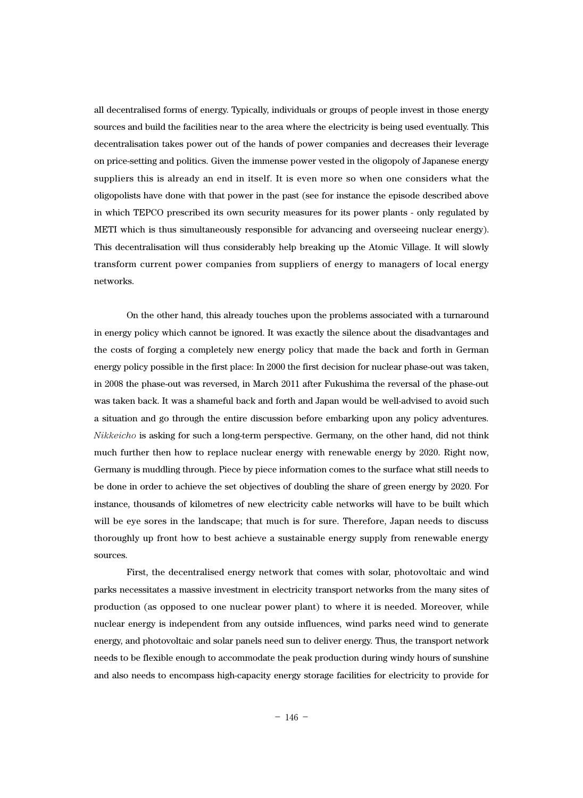all decentralised forms of energy. Typically, individuals or groups of people invest in those energy sources and build the facilities near to the area where the electricity is being used eventually. This decentralisation takes power out of the hands of power companies and decreases their leverage on price-setting and politics. Given the immense power vested in the oligopoly of Japanese energy suppliers this is already an end in itself. It is even more so when one considers what the oligopolists have done with that power in the past (see for instance the episode described above in which TEPCO prescribed its own security measures for its power plants - only regulated by METI which is thus simultaneously responsible for advancing and overseeing nuclear energy). This decentralisation will thus considerably help breaking up the Atomic Village. It will slowly transform current power companies from suppliers of energy to managers of local energy networks.

On the other hand, this already touches upon the problems associated with a turnaround in energy policy which cannot be ignored. It was exactly the silence about the disadvantages and the costs of forging a completely new energy policy that made the back and forth in German energy policy possible in the first place: In 2000 the first decision for nuclear phase-out was taken, in 2008 the phase-out was reversed, in March 2011 after Fukushima the reversal of the phase-out was taken back. It was a shameful back and forth and Japan would be well-advised to avoid such a situation and go through the entire discussion before embarking upon any policy adventures. *Nikkeicho* is asking for such a long-term perspective. Germany, on the other hand, did not think much further then how to replace nuclear energy with renewable energy by 2020. Right now, Germany is muddling through. Piece by piece information comes to the surface what still needs to be done in order to achieve the set objectives of doubling the share of green energy by 2020. For instance, thousands of kilometres of new electricity cable networks will have to be built which will be eye sores in the landscape; that much is for sure. Therefore, Japan needs to discuss thoroughly up front how to best achieve a sustainable energy supply from renewable energy sources.

First, the decentralised energy network that comes with solar, photovoltaic and wind parks necessitates a massive investment in electricity transport networks from the many sites of production (as opposed to one nuclear power plant) to where it is needed. Moreover, while nuclear energy is independent from any outside influences, wind parks need wind to generate energy, and photovoltaic and solar panels need sun to deliver energy. Thus, the transport network needs to be flexible enough to accommodate the peak production during windy hours of sunshine and also needs to encompass high-capacity energy storage facilities for electricity to provide for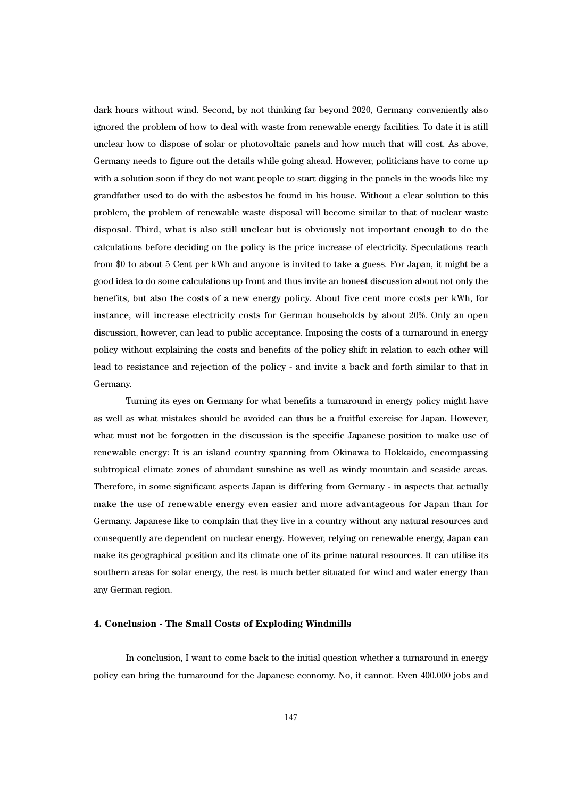dark hours without wind. Second, by not thinking far beyond 2020, Germany conveniently also ignored the problem of how to deal with waste from renewable energy facilities. To date it is still unclear how to dispose of solar or photovoltaic panels and how much that will cost. As above, Germany needs to figure out the details while going ahead. However, politicians have to come up with a solution soon if they do not want people to start digging in the panels in the woods like my grandfather used to do with the asbestos he found in his house. Without a clear solution to this problem, the problem of renewable waste disposal will become similar to that of nuclear waste disposal. Third, what is also still unclear but is obviously not important enough to do the calculations before deciding on the policy is the price increase of electricity. Speculations reach from \$0 to about 5 Cent per kWh and anyone is invited to take a guess. For Japan, it might be a good idea to do some calculations up front and thus invite an honest discussion about not only the benefits, but also the costs of a new energy policy. About five cent more costs per kWh, for instance, will increase electricity costs for German households by about 20%. Only an open discussion, however, can lead to public acceptance. Imposing the costs of a turnaround in energy policy without explaining the costs and benefits of the policy shift in relation to each other will lead to resistance and rejection of the policy - and invite a back and forth similar to that in Germany.

Turning its eyes on Germany for what benefits a turnaround in energy policy might have as well as what mistakes should be avoided can thus be a fruitful exercise for Japan. However, what must not be forgotten in the discussion is the specific Japanese position to make use of renewable energy: It is an island country spanning from Okinawa to Hokkaido, encompassing subtropical climate zones of abundant sunshine as well as windy mountain and seaside areas. Therefore, in some significant aspects Japan is differing from Germany - in aspects that actually make the use of renewable energy even easier and more advantageous for Japan than for Germany. Japanese like to complain that they live in a country without any natural resources and consequently are dependent on nuclear energy. However, relying on renewable energy, Japan can make its geographical position and its climate one of its prime natural resources. It can utilise its southern areas for solar energy, the rest is much better situated for wind and water energy than any German region.

#### **4. Conclusion - The Small Costs of Exploding Windmills**

In conclusion, I want to come back to the initial question whether a turnaround in energy policy can bring the turnaround for the Japanese economy. No, it cannot. Even 400.000 jobs and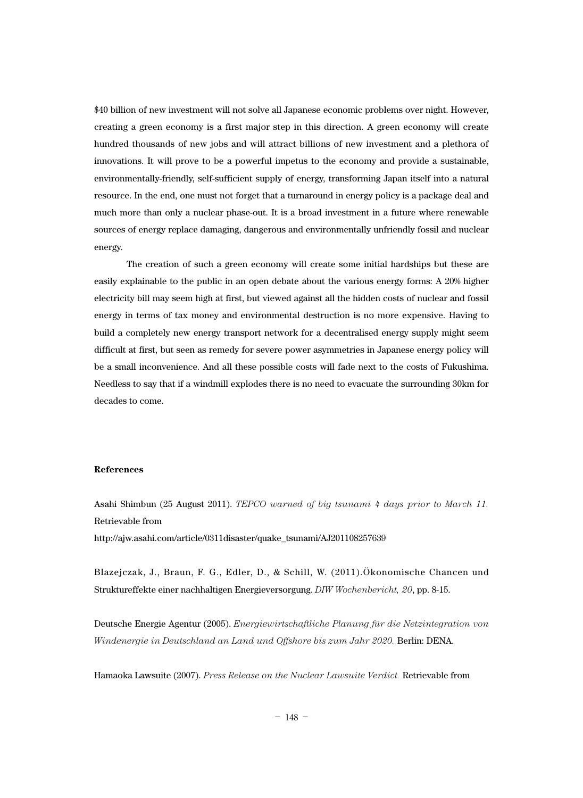\$40 billion of new investment will not solve all Japanese economic problems over night. However, creating a green economy is a first major step in this direction. A green economy will create hundred thousands of new jobs and will attract billions of new investment and a plethora of innovations. It will prove to be a powerful impetus to the economy and provide a sustainable, environmentally-friendly, self-sufficient supply of energy, transforming Japan itself into a natural resource. In the end, one must not forget that a turnaround in energy policy is a package deal and much more than only a nuclear phase-out. It is a broad investment in a future where renewable sources of energy replace damaging, dangerous and environmentally unfriendly fossil and nuclear energy.

The creation of such a green economy will create some initial hardships but these are easily explainable to the public in an open debate about the various energy forms: A 20% higher electricity bill may seem high at first, but viewed against all the hidden costs of nuclear and fossil energy in terms of tax money and environmental destruction is no more expensive. Having to build a completely new energy transport network for a decentralised energy supply might seem difficult at first, but seen as remedy for severe power asymmetries in Japanese energy policy will be a small inconvenience. And all these possible costs will fade next to the costs of Fukushima. Needless to say that if a windmill explodes there is no need to evacuate the surrounding 30km for decades to come.

#### **References**

Asahi Shimbun (25 August 2011). *TEPCO warned of big tsunami 4 days prior to March 11.* Retrievable from http://ajw.asahi.com/article/0311disaster/quake\_tsunami/AJ201108257639

Blazejczak, J., Braun, F. G., Edler, D., & Schill, W. (2011).Ökonomische Chancen und Struktureffekte einer nachhaltigen Energieversorgung. *DIW Wochenbericht, 20*, pp. 8-15.

Deutsche Energie Agentur (2005). *Energiewirtschaftliche Planung für die Netzintegration von Windenergie in Deutschland an Land und Offshore bis zum Jahr 2020.* Berlin: DENA.

Hamaoka Lawsuite (2007). *Press Release on the Nuclear Lawsuite Verdict.* Retrievable from